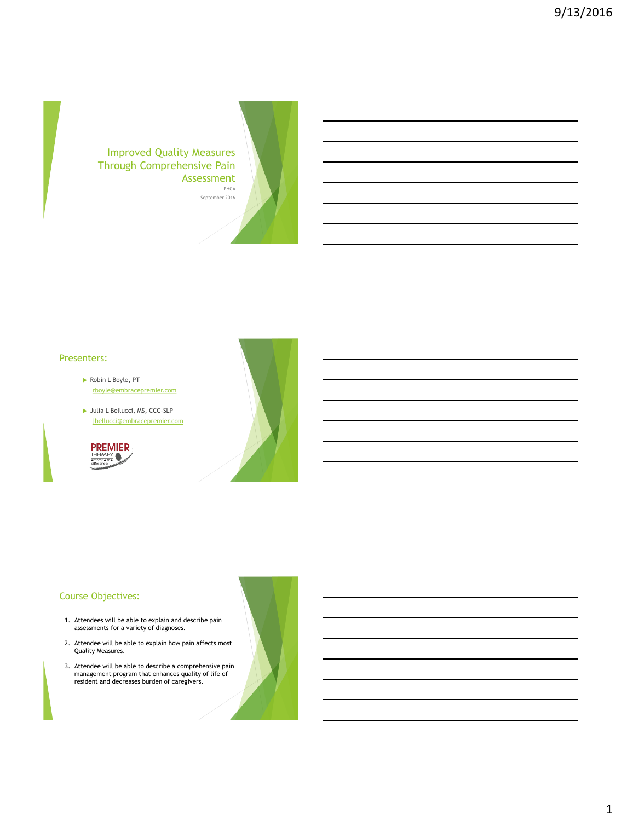Improved Quality Measures Through Comprehensive Pain Assessment



#### Presenters:

- Robin L Boyle, PT [rboyle@embracepremier.com](mailto:rboyle@embracepremier.com)
- Julia L Bellucci, MS, CCC-SLP [jbellucci@embracepremier.com](mailto:jbellucci@embracepremier.com)





# Course Objectives:

- 1. Attendees will be able to explain and describe pain assessments for a variety of diagnoses.
- 2. Attendee will be able to explain how pain affects most Quality Measures.
- 3. Attendee will be able to describe a comprehensive pain management program that enhances quality of life of resident and decreases burden of caregivers.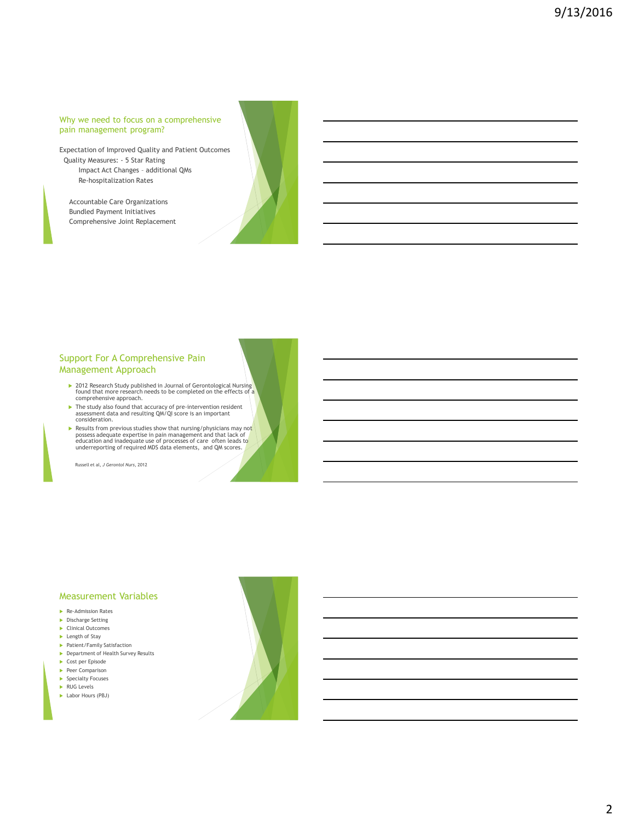#### Why we need to focus on a comprehensive pain management program?

Expectation of Improved Quality and Patient Outcomes Quality Measures: - 5 Star Rating Impact Act Changes – additional QMs Re-hospitalization Rates

Accountable Care Organizations Bundled Payment Initiatives Comprehensive Joint Replacement



# Support For A Comprehensive Pain Management Approach

- 2012 Research Study published in Journal of Gerontological Nursing 1<br>found that more research needs to be completed on the effects of a comprehensive approach.
- The study also found that accuracy of pre-intervention resident assessment data and resulting QM/QI score is an important consideration.
- Results from previous studies show that nursing/physicians may not possess adequate expertise in pain management and that lack of education and inadequate use of processes of care often leads to underreporting of required MDS data elements, and QM scores.

Russell et al, *J Gerontol Nurs*, 2012

#### Measurement Variables

- Re-Admission Rates
- Discharge Setting
- ► Clinical Outcomes
- $\blacktriangleright$  Length of Stav
- Patient/Family Satisfaction
- **Department of Health Survey Results**
- ► Cost per Episode
- Peer Comparison
- **Specialty Focuses**
- RUG Levels
- **Labor Hours (PBJ)**



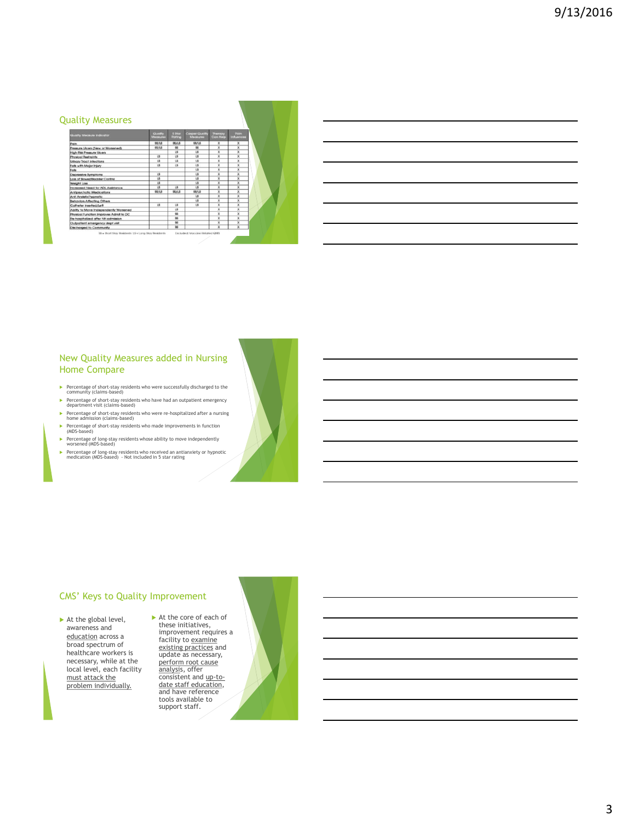#### Quality Measures

| Quality Measure Indicator              | Qualify<br><b>Mecasures</b> | <b>6 Dfcw</b><br><b>Rotting</b> | Corper Quality<br>Megazine | Therapy<br>Can Help     | Poin<br><b>Influences</b> |  |
|----------------------------------------|-----------------------------|---------------------------------|----------------------------|-------------------------|---------------------------|--|
| Pain                                   | <b>SS/LS</b>                | <b>SSAS</b>                     | <b>SS/LS</b>               | $\bf x$                 | $\overline{\mathbf{x}}$   |  |
| Pressure Lilcers (New or Worsened)     | 95/1.9                      | <b>GS</b>                       | m                          | ×                       | ×                         |  |
| High Risk Pressure Ulcers              |                             | $\overline{15}$                 | $\overline{15}$            | $\overline{\mathbf{x}}$ | $\overline{\mathbf{x}}$   |  |
| Physical Restraints                    | $\overline{15}$             | 15                              | $\overline{15}$            | $\overline{\mathbf{x}}$ | $\overline{\mathbf{x}}$   |  |
| Urinary Tract Infections               | <b>LS</b>                   | <b>US</b>                       | 1.5                        | $\overline{\mathbf{x}}$ | ×                         |  |
| Falls with Major Injury                | 15                          | <b>is</b>                       | <b>LS</b>                  | $\overline{\mathbf{x}}$ | $\overline{\mathbf{x}}$   |  |
| Folk                                   |                             |                                 | <b>LS</b>                  | $\overline{\mathbf{x}}$ | ×                         |  |
| Depressive Symptoms                    | 15                          |                                 | <b>LS</b>                  | ×                       | ×                         |  |
| Loss of Bowel/Blodder Control          | $\overline{15}$             |                                 | <b>LS</b>                  | $\overline{\mathbf{x}}$ | $\overline{\mathbf{x}}$   |  |
| Weight Loss                            | $\mathsf{LS}$               |                                 | <b>LS</b>                  | ×                       | ×                         |  |
| Increased Need for ADL Assistance      | 15                          | $\overline{15}$                 | 1.5                        | ×                       | ×                         |  |
| Antipsychotic Medications              | <b>SS/LS</b>                | <b>SS/LS</b>                    | \$8/LS                     | $\overline{\mathbf{x}}$ | $\overline{\mathbf{x}}$   |  |
| Anti Anxiety/hypnotic                  |                             |                                 | LS                         | $\overline{\mathbf{x}}$ | ×                         |  |
| <b>Behavion Affecting Others</b>       |                             |                                 | <b>is</b>                  | ×                       | ×                         |  |
| Catheter Inserted/Left                 | <b>LS</b>                   | $\overline{15}$                 | <b>US</b>                  | $\overline{\mathbf{x}}$ | $\overline{\mathbf{x}}$   |  |
| Ability to Move Independently Worsened |                             | <b>US</b>                       |                            | ×                       | ×                         |  |
| Physical Function Improves Admit to DC |                             | $^{18}$                         |                            | $\overline{\mathbf{x}}$ | ×                         |  |
| Re-hospitalized after NH admission     |                             | $\overline{a}$                  |                            | x                       | $\overline{\mathbf{x}}$   |  |
| Outpatient emergency dept visit        |                             | $\overline{\infty}$             |                            | $\times$                | ×                         |  |
| Discharged to Community                |                             | m                               |                            | x                       | $\overline{\mathbf{x}}$   |  |

# New Quality Measures added in Nursing Home Compare

- Percentage of short-stay residents who were successfully discharged to the community (claims-based)
- Percentage of short-stay residents who have had an outpatient emergency department visit (claims-based)
- Percentage of short-stay residents who were re-hospitalized after a nursing home admission (claims-based)
- Percentage of short-stay residents who made improvements in function (MDS-based) Percentage of long-stay residents whose ability to move independently worsened (MDS-based)
- Percentage of long-stay residents who received an antianxiety or hypnotic medication (MDS-based) Not included in 5 star rating

#### CMS' Keys to Quality Improvement

 $\blacktriangleright$  At the global level, awareness and education across a broad spectrum of healthcare workers is necessary, while at the local level, each facility must attack the problem individually.

 At the core of each of these initiatives, improvement requires a facility to examine existing practices and update as necessary, perform root cause<br><u>analysi</u>s, offer<br>consistent and <u>up-to-</u> date staff education, and have reference tools available to support staff.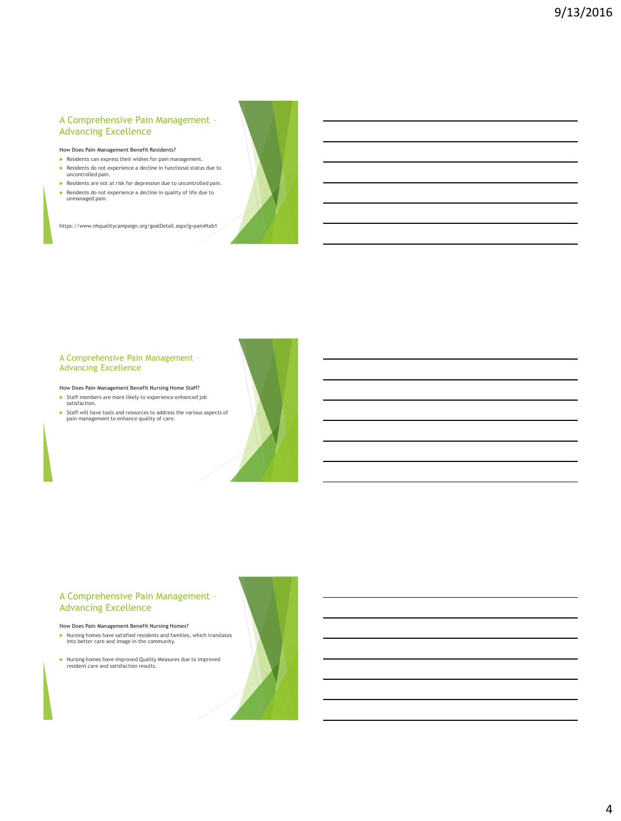# A Comprehensive Pain Management – Advancing Excellence

**How Does Pain Management Benefit Residents?**

- **Residents can express their wishes for pain management.** Residents do not experience a decline in functional status due to
- uncontrolled pain. **Residents are not at risk for depression due to uncontrolled pain.**
- resented to not experience a decline in quality of life due to ► unmanaged pain.

https://www.nhqualitycampaign.org/goalDetail.aspx?g=pain#tab1

#### A Comprehensive Pain Management – Advancing Excellence

**How Does Pain Management Benefit Nursing Home Staff?**

- Staff members are more likely to experience enhanced job satisfaction.
- Staff will have tools and resources to address the various aspects of pain management to enhance quality of care.

# A Comprehensive Pain Management – Advancing Excellence

#### **How Does Pain Management Benefit Nursing Homes?**

- Nursing homes have satisfied residents and families, which translates into better care and image in the community.
- Nursing homes have improved Quality Measures due to improved resident care and satisfaction results.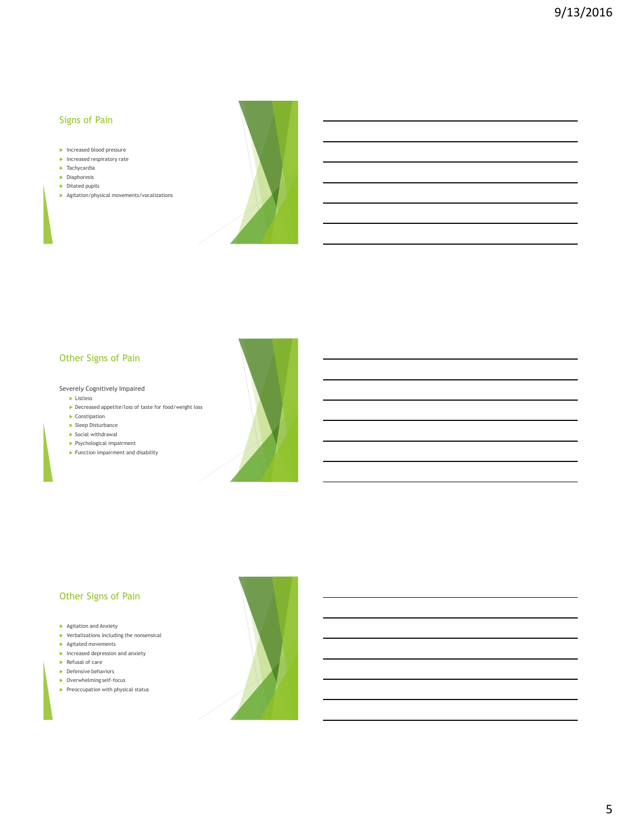# Signs of Pain

- Increased blood pressure
- $\blacktriangleright$  Increased respiratory rate
- **Tachycardia**
- $\blacktriangleright$  Diaphoresis
- $\triangleright$  Dilated pupils
- Agitation/physical movements/vocalizations



# Other Signs of Pain

#### Severely Cognitively Impaired

- **Listless**
- Decreased appetite/loss of taste for food/weight loss
- $\blacktriangleright$  Constipation
- Sleep Disturbance
- $\triangleright$  Social withdrawal
- Psychological impairment Function impairment and disability



# Other Signs of Pain

- Agitation and Anxiety
- $\blacktriangleright$  Verbalizations including the nonsensical
- Agitated movements
- $\blacktriangleright$  Increased depression and anxiety Refusal of care
- **Defensive behaviors**
- 
- Overwhelming self-focus
- $\blacktriangleright$  Preoccupation with physical status

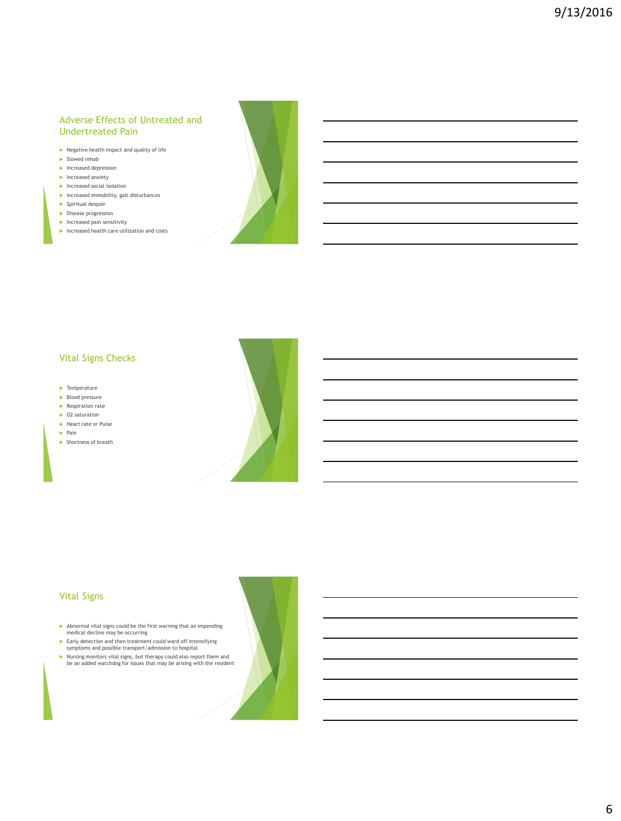# Adverse Effects of Untreated and Undertreated Pain

- $\blacktriangleright$  Negative health impact and quality of life
- Slowed rehab
- $\blacktriangleright$  Increased depression
- $\blacktriangleright$  Increased anxiety
- $\blacktriangleright$  Increased social isolation
- $\blacktriangleright$  Increased immobility, gait disturbances
- $\blacktriangleright$  Spiritual despair
- **Disease progression**
- $\blacktriangleright$  Increased pain sensitivity
- $\blacktriangleright$  Increased health care utilization and costs



# Vital Signs Checks

- $\blacktriangleright$  Temperature
- $\blacktriangleright$  Blood pressure
- $\blacktriangleright$  Respiration rate ▶ O2 saturation
- Heart rate or Pulse
- $\blacktriangleright$  Pain
- 
- $\blacktriangleright$  Shortness of breath



# Vital Signs

- Abnormal vital signs could be the first warning that an impending medical decline may be occurring
- Early detection and then treatment could ward off intensifying symptoms and possible transport/admission to hospital
- Nursing monitors vital signs, but therapy could also report them and be an added watchdog for issues that may be arising with the resident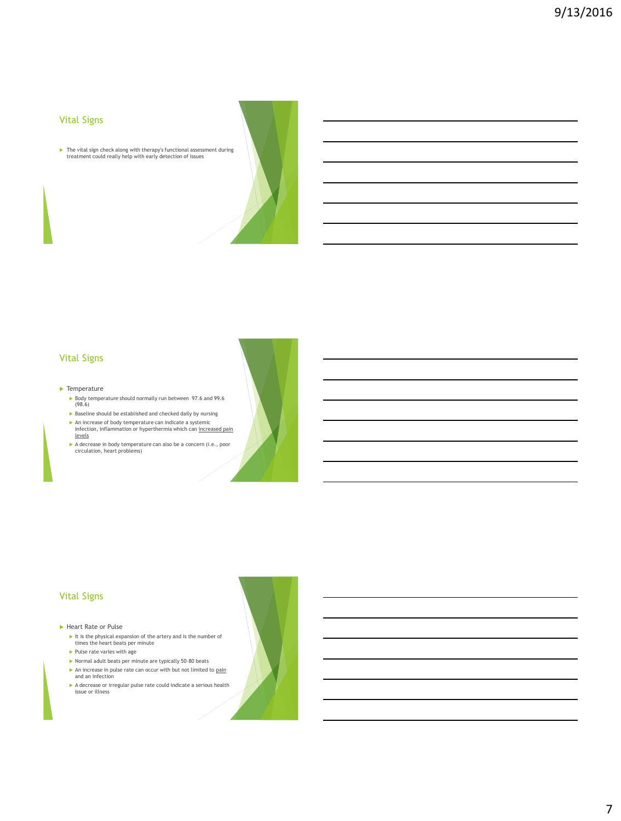# Vital Signs

The vital sign check along with therapy's functional assessment during treatment could really help with early detection of issues

# Vital Signs

#### $\blacktriangleright$  Temperature

- Body temperature should normally run between 97.6 and 99.6 (98.6)
- Baseline should be established and checked daily by nursing
- An increase of body temperature can indicate a systemic infection, inflammation or hyperthermia which can increased pain levels
- A decrease in body temperature can also be a concern (i.e., poor circulation, heart problems)

# Vital Signs

#### ▶ Heart Rate or Pulse

- It is the physical expansion of the artery and is the number of times the heart beats per minute
- $\blacktriangleright$  Pulse rate varies with age
- Normal adult beats per minute are typically 50-80 beats An increase in pulse rate can occur with but not limited to pain and an infection
- A decrease or irregular pulse rate could indicate a serious health issue or illness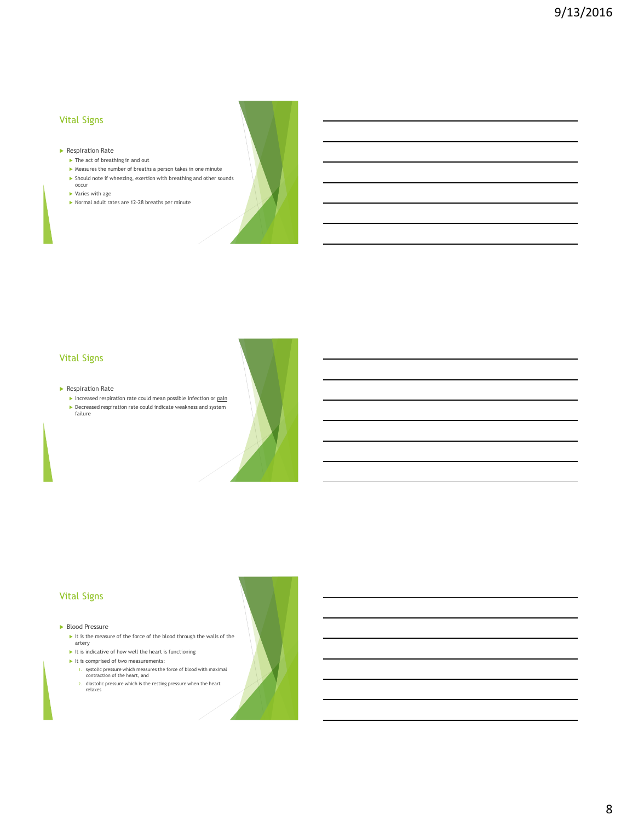# Vital Signs

- **Respiration Rate** 
	- $\blacktriangleright$  The act of breathing in and out
	- Measures the number of breaths a person takes in one minute Should note if wheezing, exertion with breathing and other sounds
	- occur
	- Varies with age
	- Normal adult rates are 12-28 breaths per minute



# Vital Signs

#### **Respiration Rate**

- $\blacktriangleright$  Increased respiration rate could mean possible infection or  $\operatorname{pain}$
- Decreased respiration rate could indicate weakness and system failure

# Vital Signs

#### ▶ Blood Pressure

- $\blacktriangleright$  It is the measure of the force of the blood through the walls of the artery
- $\blacktriangleright$  It is indicative of how well the heart is functioning
- It is comprised of two measurements:
	- 1. systolic pressure which measures the force of blood with maximal contraction of the heart, and
	- 2. diastolic pressure which is the resting pressure when the heart relaxes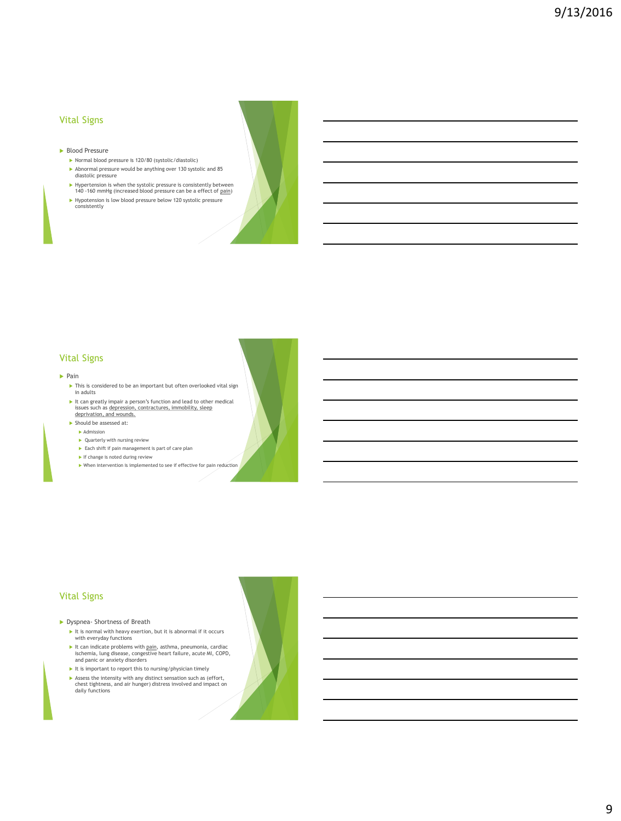# Vital Signs

- **Blood Pressure** 
	- Normal blood pressure is 120/80 (systolic/diastolic) Abnormal pressure would be anything over 130 systolic and 85 diastolic pressure
	- ► Hypertension is when the systolic pressure is consistently between 140 -160 mmHg (increased blood pressure can be a effect of <u>pain</u>)
	- Hypotension is low blood pressure below 120 systolic pressure
	- consistently

# Vital Signs

#### $\blacktriangleright$  Pain

- $\blacktriangleright$  This is considered to be an important but often overlooked vital sign in adults
- It can greatly impair a person's function and lead to other medical issues such as depression, contractures, immobility, sleep deprivation, and wounds.
- Should be assessed at:
	- Admission
	-
	- ▶ Quarterly with nursing review
	- Each shift if pain management is part of care plan If change is noted during review
	- When intervention is implemented to see if effective for pain reduction

#### Vital Signs

Dyspnea- Shortness of Breath

- It is normal with heavy exertion, but it is abnormal if it occurs with everyday functions
- It can indicate problems with <u>pain,</u> asthma, pneumonia, cardiac<br>ischemia, lung disease, congestive heart failure, acute MI, COPD,<br>and panic or anxiety disorders
- $\blacktriangleright$  It is important to report this to nursing/physician timely
- Assess the intensity with any distinct sensation such as (effort, chest tightness, and air hunger) distress involved and impact on daily functions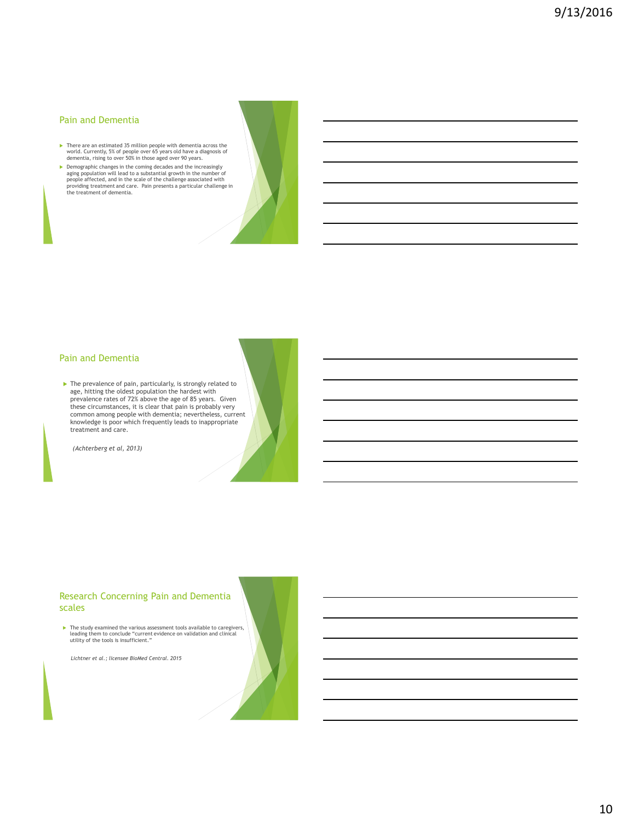## Pain and Dementia

- ▶ There are an estimated 35 million people with dementia across the world. Currently, 5% of people over 65 years old have a diagnosis of dementia, rising to over 50% in those aged over 90 years.
- $\blacktriangleright$  Demographic changes in the coming decades and the increasingly<br>population will lead to a substantial growth in the number of<br>people affected, and in the scale of the challenge associated with<br>providing treatment a



#### Pain and Dementia

 The prevalence of pain, particularly, is strongly related to age, hitting the oldest population the hardest with prevalence rates of 72% above the age of 85 years. Given these circumstances, it is clear that pain is probably very common among people with dementia; nevertheless, current knowledge is poor which frequently leads to inappropriate treatment and care.

 *(Achterberg et al, 2013)*

#### Research Concerning Pain and Dementia scales

The study examined the various assessment tools available to caregivers, leading them to conclude "current evidence on validation and clinical utility of the tools is insufficient."

 *Lichtner et al.; licensee BioMed Central. 2015*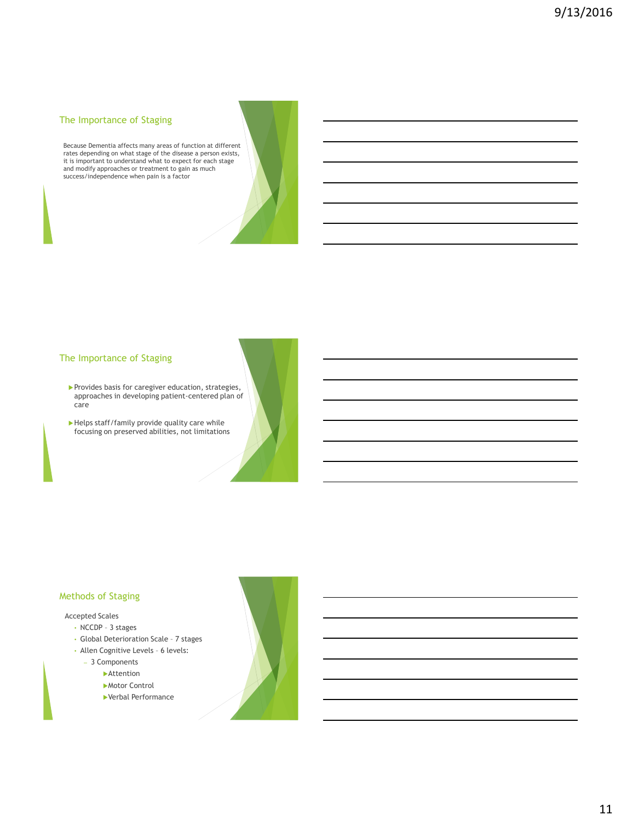# The Importance of Staging

Because Dementia affects many areas of function at different rates depending on what stage of the disease a person exists, it is important to understand what to expect for each stage and modify approaches or treatment to gain as much success/independence when pain is a factor

# The Importance of Staging

- $\blacktriangleright$  Provides basis for caregiver education, strategies, approaches in developing patient-centered plan of care
- Helps staff/family provide quality care while focusing on preserved abilities, not limitations

#### Methods of Staging

#### Accepted Scales

- NCCDP 3 stages
- Global Deterioration Scale 7 stages
- Allen Cognitive Levels 6 levels:
	- 3 Components
		- **Attention** 
			- Motor Control
			- Verbal Performance

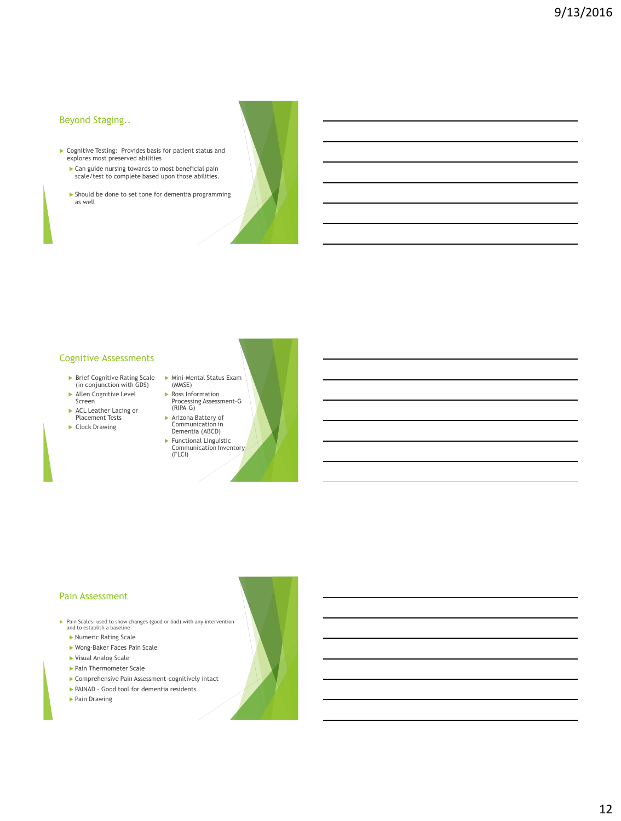# Beyond Staging..

- Cognitive Testing: Provides basis for patient status and explores most preserved abilities
	- Can guide nursing towards to most beneficial pain scale/test to complete based upon those abilities.
	- Should be done to set tone for dementia programming as well

# Cognitive Assessments

- Brief Cognitive Rating Scale (in conjunction with GDS)
- Allen Cognitive Level Screen
- ACL Leather Lacing or Placement Tests
- Clock Drawing
- Mini-Mental Status Exam (MMSE) Ross Information Processing Assessment–G (RIPA–G)
	- Arizona Battery of Communication in Dementia (ABCD)
	- Functional Linguistic Communication Inventory (FLCI)

#### Pain Assessment

- Pain Scales- used to show changes (good or bad) with any intervention and to establish a baseline
	- Numeric Rating Scale
	- Wong-Baker Faces Pain Scale
	- Visual Analog Scale
	- ▶ Pain Thermometer Scale
	- Comprehensive Pain Assessment-cognitively intact
	- PAINAD Good tool for dementia residents
	- ▶ Pain Drawing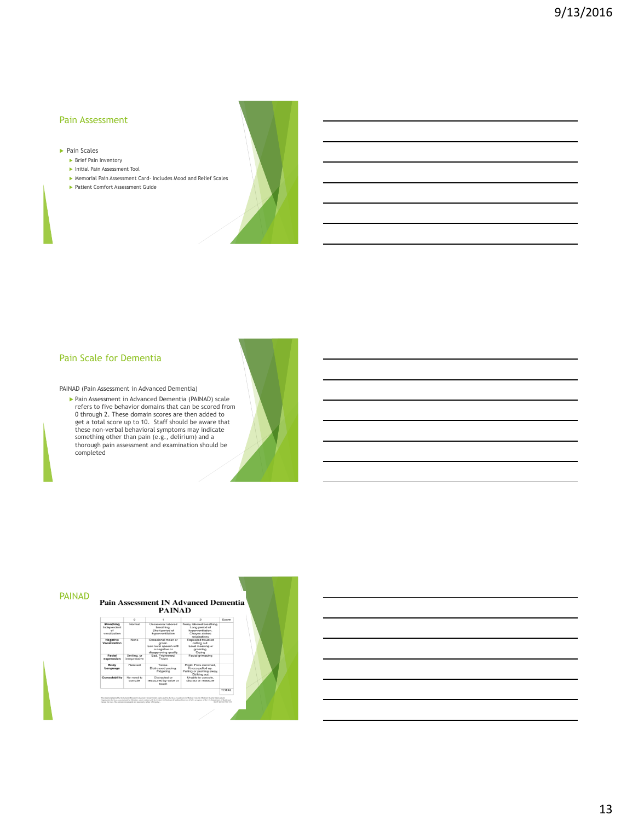#### Pain Assessment

- Pain Scales
	- **Brief Pain Inventory**
	- Initial Pain Assessment Tool
	- Memorial Pain Assessment Card- includes Mood and Relief Scales
	- Patient Comfort Assessment Guide



# Pain Scale for Dementia

PAINAD (Pain Assessment in Advanced Dementia)

 Pain Assessment in Advanced Dementia (PAINAD) scale refers to five behavior domains that can be scored from 0 through 2. These domain scores are then added to get a total score up to 10. Staff should be aware that these non-verbal behavioral symptoms may indicate something other than pain (e.g., delirium) and a thorough pain assessment and examination should be completed

|                                                |                             | <b>PAINAD</b>                                                                                  |                                                                                                  |       |  |
|------------------------------------------------|-----------------------------|------------------------------------------------------------------------------------------------|--------------------------------------------------------------------------------------------------|-------|--|
|                                                | $\Omega$                    |                                                                                                | 9                                                                                                | Score |  |
| Breathing<br>Independent<br>of<br>vecalization | Mormal                      | Orrasional labored<br>breathing.<br>Short period of<br>hyperventilation                        | Noisy labored breathing.<br>Long period of<br>hyperventilation.<br>Cheyne-stokes<br>respirations |       |  |
| Negative<br>Vocalization                       | None                        | Occasional moan or<br>groan.<br>Low level speech with<br>a negative or<br>disapproving quality | Repeated troubled<br>calling out.<br>Loud moaning or<br>groaning.<br>Crying                      |       |  |
| Facial<br>expression                           | Smiling, or<br>inexpressive | Sad, Frightened.<br>Executive                                                                  | Facial grimacing                                                                                 |       |  |
| Body<br>Language                               | Relaxed                     | Tense<br>Distressed pacing.<br>Fidgeting                                                       | Rigid. Fists clenched.<br>Knees pulled up.<br>Pulling or pushing away.<br>Striking out           |       |  |
| Consolability                                  | No need to<br>console       | Distracted or<br>reassured by voice or<br>touch                                                | Unable to console.<br>distract or reassure                                                       |       |  |

# 13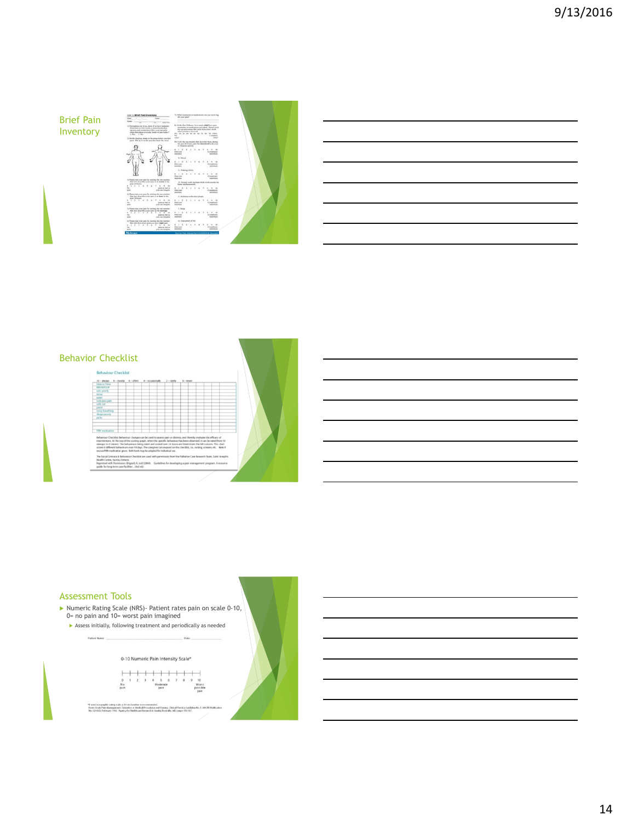# Brief Pain Inventory

 $1.1.3$ Ë  $\cdots$  $\frac{a}{2\pi a}$  $\frac{1}{2}$  $\frac{1}{2}$ 

 $\equiv$ 



# Behavior Checklist  $\overline{\mathcal{L}}$

#### Assessment Tools

- Numeric Rating Scale (NRS)- Patient rates pain on scale 0-10, 0= no pain and 10= worst pain imagined
- Assess initially, following treatment and periodically as neededPatient Name:

0-10 Numeric Pain Intensity Scale\*

"If used as a graphic cating :<br>Frum: Acute Pain Manager<br>No. 92.0132;February 1996 siale, a 10-cm haseline in roco<br>sant: Opasithor or Medical Pro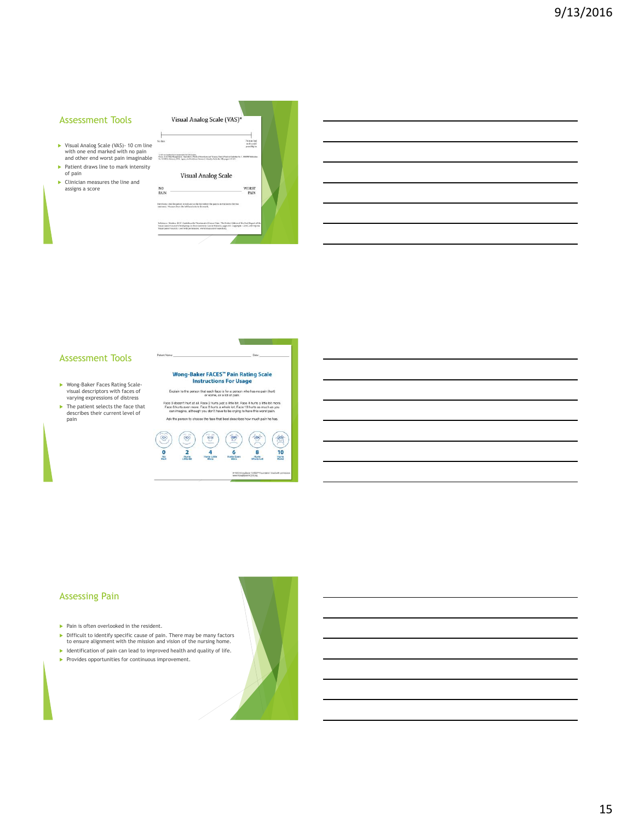#### Assessment Tools

- Visual Analog Scale (VAS)- 10 cm line with one end marked with no pain and other end worst pain imaginable  $\blacktriangleright$  Patient draws line to mark intensity
- of pain
- Clinician measures the line and assigns a score

| No. Palm                                                                                                                                             | Pain echant<br>as A readel                                                                                                                                                                                                       |
|------------------------------------------------------------------------------------------------------------------------------------------------------|----------------------------------------------------------------------------------------------------------------------------------------------------------------------------------------------------------------------------------|
|                                                                                                                                                      | provider be                                                                                                                                                                                                                      |
| "A til-sa bandar is resumended to Viti acres.<br>No. 92-0812; Scheman 1952; Approving Dealthcam Spann (A Guality Stady-R), 195 pages 131, 113.       | From Ande Esta Steppensent Garciane of Medical From Euro and Traunus, Claimal Practice Galledge No. 1, 2007 EPablication                                                                                                         |
|                                                                                                                                                      |                                                                                                                                                                                                                                  |
|                                                                                                                                                      | <b>Visual Analog Scale</b>                                                                                                                                                                                                       |
| NO <sub></sub>                                                                                                                                       | <b>WORST</b>                                                                                                                                                                                                                     |
| PAIN                                                                                                                                                 | PAIN                                                                                                                                                                                                                             |
| Directions: Ask/the patient to indicate on the line where the painting relation to the two<br>extremes. We gave from the left hand side to the mark. |                                                                                                                                                                                                                                  |
| Braue Cancer Council. Used with permission, www.boxecancercouncil.crs.                                                                               | Reference: Stratton H41C Castbillant for Treatment of Cascor Pain: The Pocket Edition of the final Report of the<br>Steas Cancer Council's Werkgroup ou Fare Control in Cancer Patients, pages 66. Copyright - 2003, 2005 by the |

#### Assessment Tools

- Wong-Baker Faces Rating Scale-visual descriptors with faces of varying expressions of distress
- The patient selects the face that describes their current level of pain



Wong-Baker FACES" Pain Rating Scale<br>Instructions For Usage

**College** 

#### Assessing Pain

- $\blacktriangleright$  Pain is often overlooked in the resident.
- Difficult to identify specific cause of pain. There may be many factors to ensure alignment with the mission and vision of the nursing home.
- $\blacktriangleright$  Identification of pain can lead to improved health and quality of life.
- Provides opportunities for continuous improvement.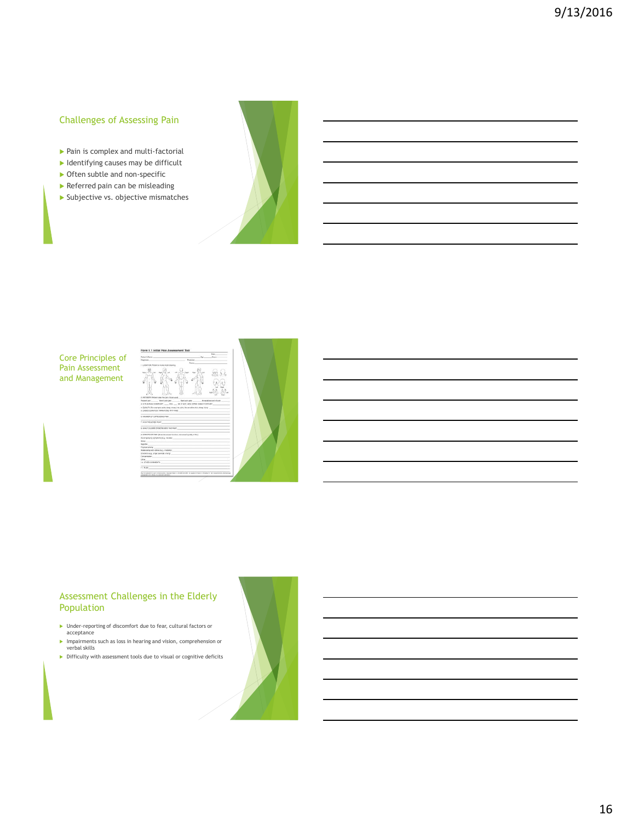# Challenges of Assessing Pain

- Pain is complex and multi-factorial
- $\blacktriangleright$  Identifying causes may be difficult
- ▶ Often subtle and non-specific
- Referred pain can be misleading
- Subjective vs. objective mismatches



#### Core Principles of Pain Assessment and Management



# Assessment Challenges in the Elderly Population

- Under-reporting of discomfort due to fear, cultural factors or acceptance
- Impairments such as loss in hearing and vision, comprehension or verbal skills Difficulty with assessment tools due to visual or cognitive deficits

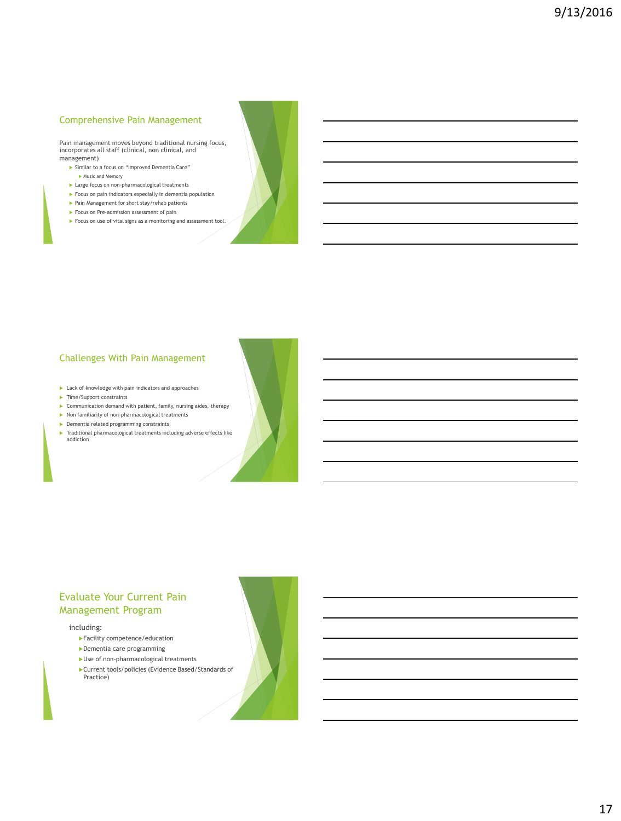# Comprehensive Pain Management

Pain management moves beyond traditional nursing focus, incorporates all staff (clinical, non clinical, and management)

- Similar to a focus on "Improved Dementia Care" Music and Memory
- **Large focus on non-pharmacological treatments**
- Focus on pain indicators especially in dementia population
- Pain Management for short stay/rehab patients
- Focus on Pre-admission assessment of pain
- Focus on use of vital signs as a monitoring and assessment tool.



# Challenges With Pain Management

- **Lack of knowledge with pain indicators and approaches**
- $\blacktriangleright$  Time/Support constraints
- Communication demand with patient, family, nursing aides, therapy
- $\blacktriangleright$  Non familiarity of non-pharmacological treatments
- Dementia related programming constraints
- Traditional pharmacological treatments including adverse effects like addiction

# Evaluate Your Current Pain Management Program

#### including:

- Facility competence/education
- Dementia care programming
- Use of non-pharmacological treatments
- Current tools/policies (Evidence Based/Standards of Practice)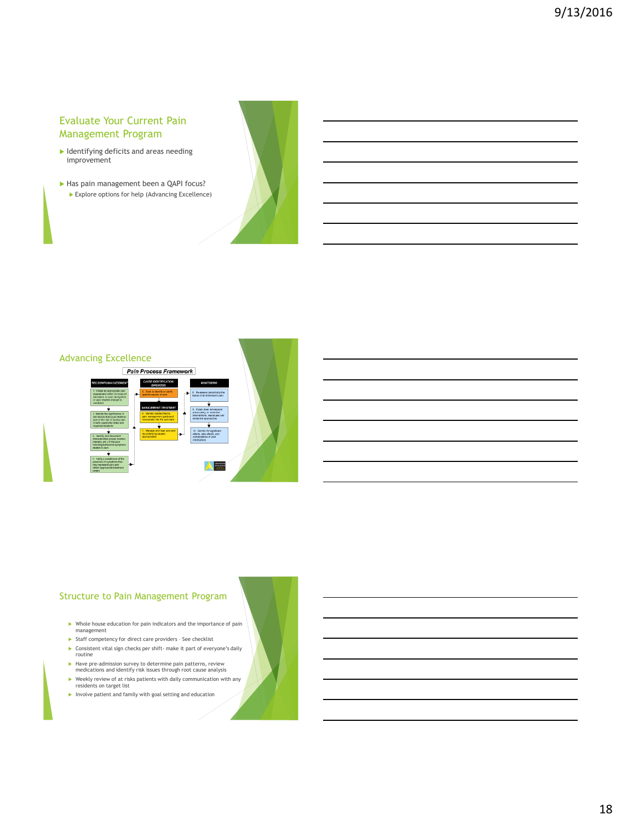# Evaluate Your Current Pain Management Program

- Identifying deficits and areas needing improvement
- Has pain management been a QAPI focus? Explore options for help (Advancing Excellence)



# Advancing Excellence Pain Process Framework

# Structure to Pain Management Program

- Whole house education for pain indicators and the importance of pain management
- $\blacktriangleright$  Staff competency for direct care providers See checklist
- Consistent vital sign checks per shift- make it part of everyone's daily routine
- Have pre-admission survey to determine pain patterns, review medications and identify risk issues through root cause analysis Weekly review of at risks patients with daily communication with any
- residents on target list
- $\blacktriangleright$  Involve patient and family with goal setting and education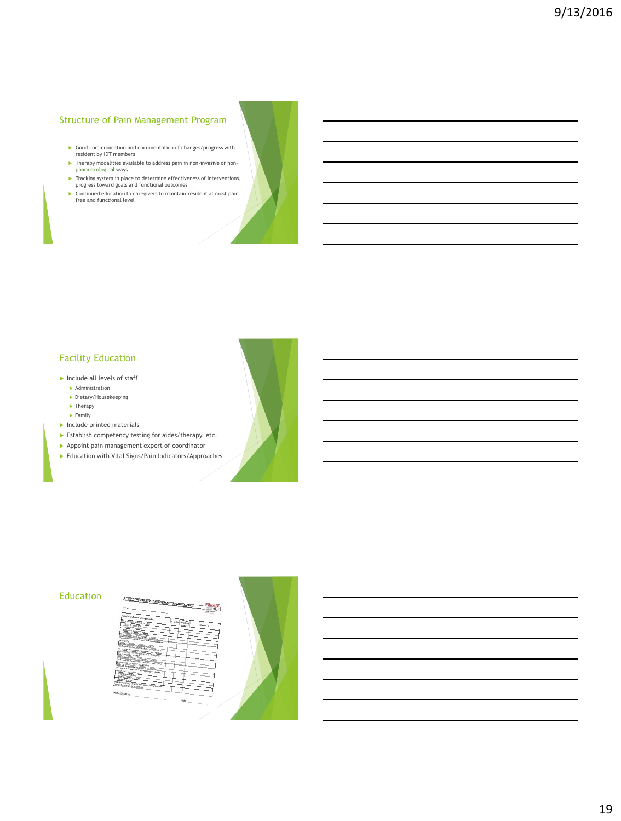# Structure of Pain Management Program

- Good communication and documentation of changes/progress with resident by IDT members
- Therapy modalities available to address pain in non-invasive or non-pharmacological ways
- Tracking system in place to determine effectiveness of interventions, progress toward goals and functional outcomes Continued education to caregivers to maintain resident at most pain free and functional level

# Facility Education

- $\blacktriangleright$  Include all levels of staff
- Administration Dietary/Housekeeping
- $\blacktriangleright$  Therapy
- $\blacktriangleright$  Family
- $\blacktriangleright$  Include printed materials
- Establish competency testing for aides/therapy, etc.
- Appoint pain management expert of coordinator
- Education with Vital Signs/Pain Indicators/Approaches

#### **Education**

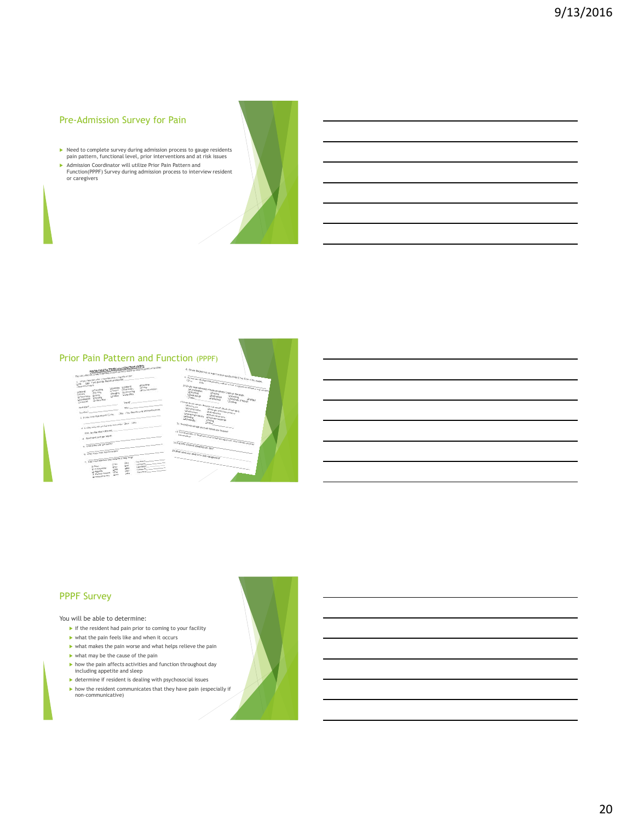# Pre-Admission Survey for Pain

- Need to complete survey during admission process to gauge residents pain pattern, functional level, prior interventions and at risk issues
- Admission Coordinator will utilize Prior Pain Pattern and Function(PPPF) Survey during admission process to interview resident or caregivers

# Prior Pain Pattern and Function (PPPF)





#### PPPF Survey

You will be able to determine:

- $\blacktriangleright$  if the resident had pain prior to coming to your facility
- $\blacktriangleright$  what the pain feels like and when it occurs
- $\blacktriangleright$  what makes the pain worse and what helps relieve the pain
- $\blacktriangleright$  what may be the cause of the pain
- 
- how the pain affects activities and function throughout day including appetite and sleep determine if resident is dealing with psychosocial issues
- how the resident communicates that they have pain (especially if non-communicative)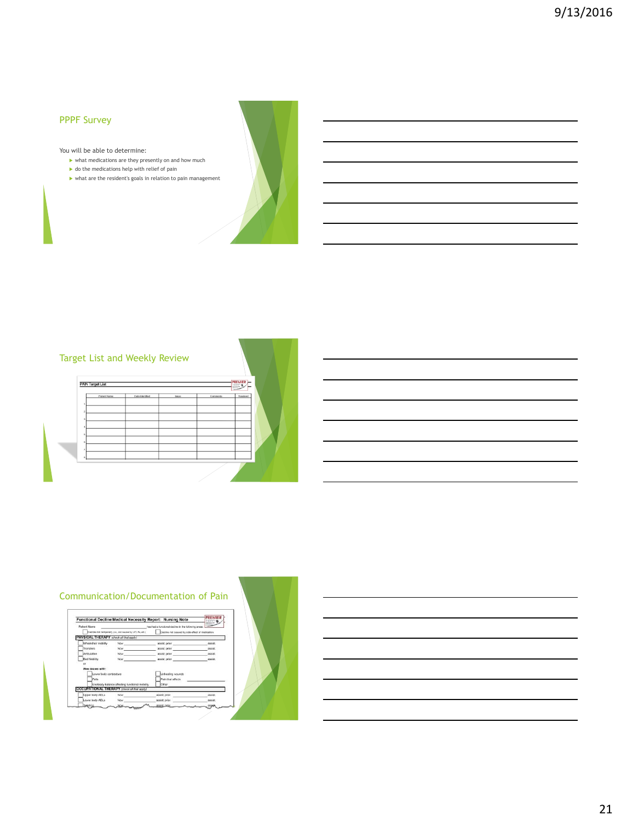# PPPF Survey

You will be able to determine:

- $\blacktriangleright$  what medications are they presently on and how much
- $\blacktriangleright$  do the medications help with relief of pain
- $\blacktriangleright$  what are the resident's goals in relation to pain management



# Target List and Weekly Review

|                | Patient Name | Date Identified | Incaso | Comments | Resolved |  |
|----------------|--------------|-----------------|--------|----------|----------|--|
|                |              |                 |        |          |          |  |
| $\overline{2}$ |              |                 |        |          |          |  |
| $\overline{1}$ |              |                 |        |          |          |  |
|                |              |                 |        |          |          |  |
| 5              |              |                 |        |          |          |  |
| ×              | ٠            |                 |        |          |          |  |
|                |              |                 |        |          |          |  |

#### Communication/Documentation of Pain



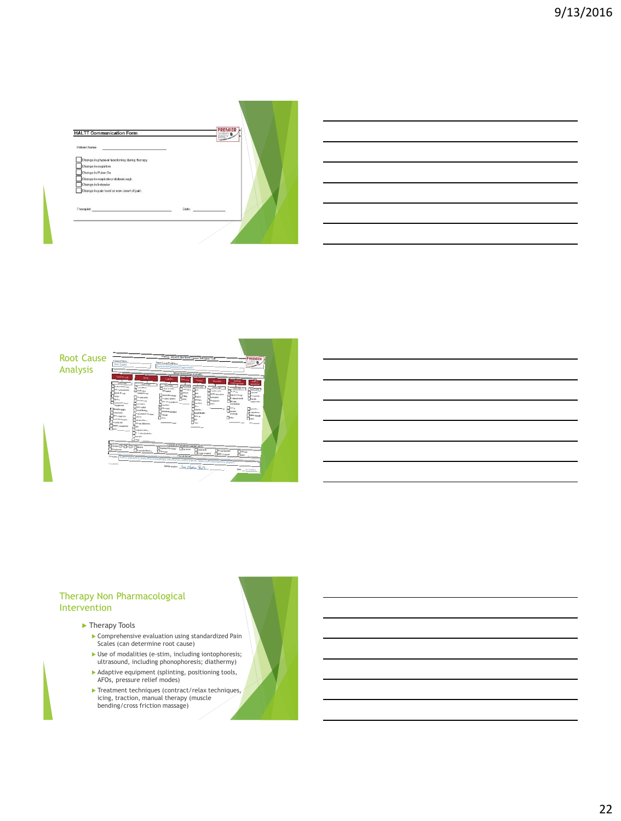| <b>HALTT Communication Form</b>               |       | $\frac{1}{2}$ | PREMIER |  |
|-----------------------------------------------|-------|---------------|---------|--|
| Patient Name                                  |       |               |         |  |
| Change in physical functioning during therapy |       |               |         |  |
| Change in cognition                           |       |               |         |  |
| Change in Pulse Ox                            |       |               |         |  |
| Change in respiratory status/cough            |       |               |         |  |
| Change in behavior                            |       |               |         |  |
| Change in pain level or new onset of pain     |       |               |         |  |
|                                               |       |               |         |  |
| Thorapist                                     | Date: |               |         |  |
|                                               |       |               |         |  |

|       |  | <u> 2000 - Andrea Andrew American American American American American American American American American American</u> |
|-------|--|------------------------------------------------------------------------------------------------------------------------|
|       |  | <u> 2000 - Andrea Andrew Amerikaanse kommunister († 1952)</u>                                                          |
|       |  |                                                                                                                        |
| _____ |  |                                                                                                                        |
|       |  | <u> 2002 - Jan Barbara de San Barbara de San Barbara de San Barbara de San Barbara de San Barbara de San Barbara d</u> |
|       |  | <u> 1989 - Johann Barn, amerikan bernama di sebagai bernama dan bernama di sebagai bernama dalam bernama dalam b</u>   |



# Therapy Non Pharmacological Intervention

#### ▶ Therapy Tools

- Comprehensive evaluation using standardized Pain Scales (can determine root cause)
- $\blacktriangleright$  Use of modalities (e-stim, including iontophoresis; ultrasound, including phonophoresis; diathermy)
- Adaptive equipment (splinting, positioning tools, AFOs, pressure relief modes)
- Inteatment techniques (contract/relax techniques, icing, traction, manual therapy (muscle<br>bending/cross friction massage)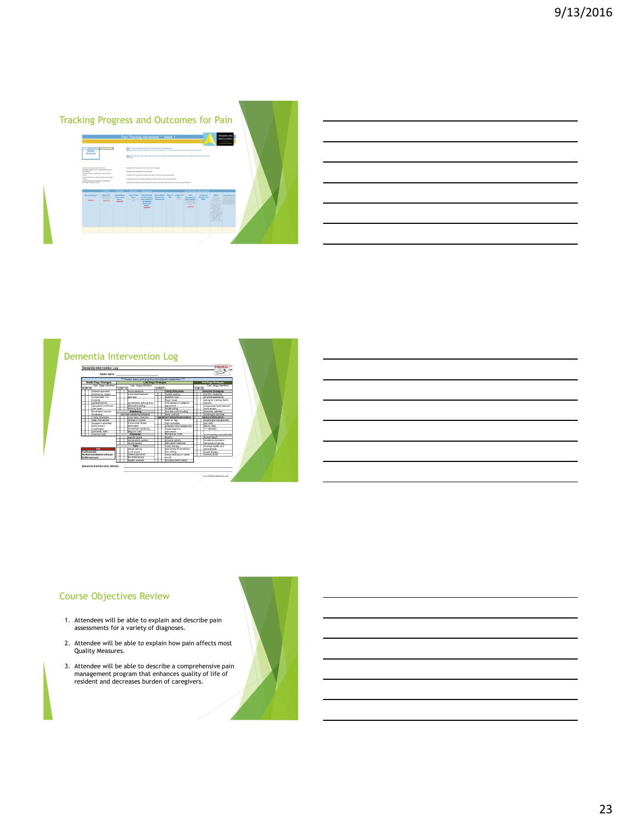# Tracking Progress and Outcomes for Pain



# Course Objectives Review

- 1. Attendees will be able to explain and describe pain assessments for a variety of diagnoses.
- 2. Attendee will be able to explain how pain affects most Quality Measures.
- 3. Attendee will be able to describe a comprehensive pain management program that enhances quality of life of resident and decreases burden of caregivers.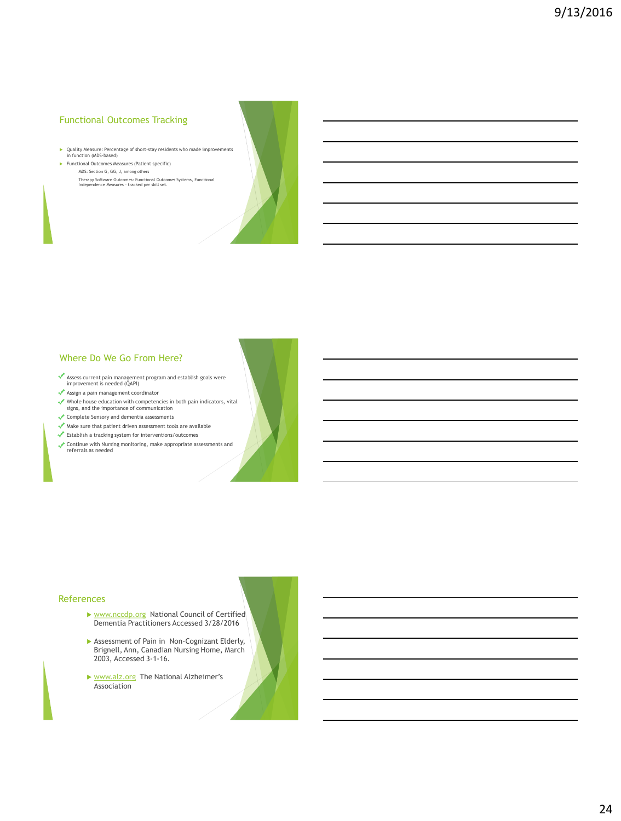# Functional Outcomes Tracking

- Quality Measure: Percentage of short-stay residents who made improvements in function (MDS-based)
- **Functional Outcomes Measures (Patient specific)** MDS: Section G, GG, J, among others Therapy Software Outcomes: Functional Outcomes Systems, Functional Independence Measures – tracked per skill set.



# Where Do We Go From Here?

- Assess current pain management program and establish goals were improvement is needed (QAPI)
- Assign a pain management coordinator
- Whole house education with competencies in both pain indicators, vital signs, and the importance of communication
- Complete Sensory and dementia assessments
- $\blacklozenge$  Make sure that patient driven assessment tools are available
- Establish a tracking system for interventions/outcomes
- Continue with Nursing monitoring, make appropriate assessments and referrals as needed

#### References

- [www.nccdp.org](http://www.nccdp.org/) National Council of Certified Dementia Practitioners Accessed 3/28/2016
- Assessment of Pain in Non-Cognizant Elderly, Brignell, Ann, Canadian Nursing Home, March 2003, Accessed 3-1-16.
- ▶ [www.alz.org](http://www.alz.org/) The National Alzheimer's Association